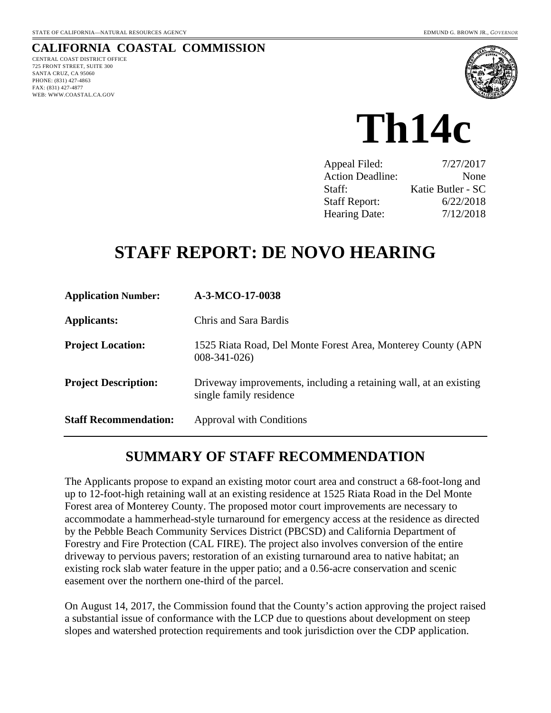#### **CALIFORNIA COASTAL COMMISSION**  CENTRAL COAST DISTRICT OFFICE

725 FRONT STREET, SUITE 300 SANTA CRUZ, CA 95060 PHONE: (831) 427-4863 FAX: (831) 427-4877 WEB: WWW.COASTAL.CA.GOV



# **Th14c**

| Appeal Filed:           | 7/27/2017         |
|-------------------------|-------------------|
| <b>Action Deadline:</b> | None              |
| Staff:                  | Katie Butler - SC |
| <b>Staff Report:</b>    | 6/22/2018         |
| <b>Hearing Date:</b>    | 7/12/2018         |

# **STAFF REPORT: DE NOVO HEARING**

| <b>Application Number:</b>   | A-3-MCO-17-0038                                                                              |
|------------------------------|----------------------------------------------------------------------------------------------|
| Applicants:                  | Chris and Sara Bardis                                                                        |
| <b>Project Location:</b>     | 1525 Riata Road, Del Monte Forest Area, Monterey County (APN)<br>$008 - 341 - 026$           |
| <b>Project Description:</b>  | Driveway improvements, including a retaining wall, at an existing<br>single family residence |
| <b>Staff Recommendation:</b> | Approval with Conditions                                                                     |

## **SUMMARY OF STAFF RECOMMENDATION**

The Applicants propose to expand an existing motor court area and construct a 68-foot-long and up to 12-foot-high retaining wall at an existing residence at 1525 Riata Road in the Del Monte Forest area of Monterey County. The proposed motor court improvements are necessary to accommodate a hammerhead-style turnaround for emergency access at the residence as directed by the Pebble Beach Community Services District (PBCSD) and California Department of Forestry and Fire Protection (CAL FIRE). The project also involves conversion of the entire driveway to pervious pavers; restoration of an existing turnaround area to native habitat; an existing rock slab water feature in the upper patio; and a 0.56-acre conservation and scenic easement over the northern one-third of the parcel.

On August 14, 2017, the Commission found that the County's action approving the project raised a substantial issue of conformance with the LCP due to questions about development on steep slopes and watershed protection requirements and took jurisdiction over the CDP application.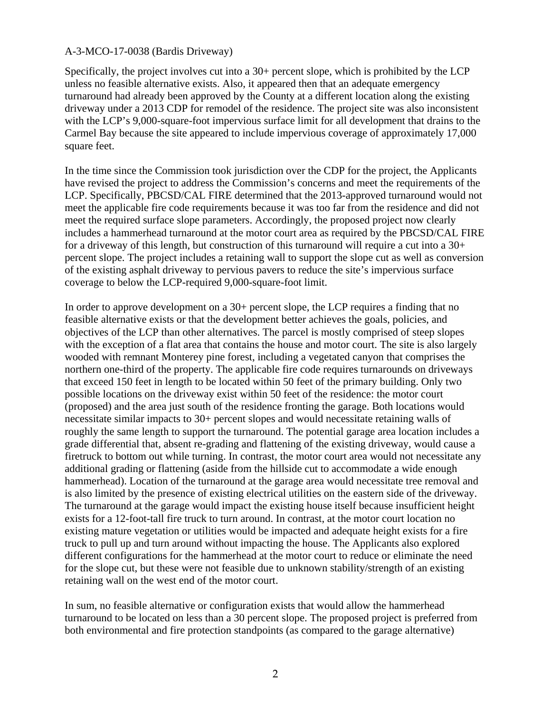Specifically, the project involves cut into a 30+ percent slope, which is prohibited by the LCP unless no feasible alternative exists. Also, it appeared then that an adequate emergency turnaround had already been approved by the County at a different location along the existing driveway under a 2013 CDP for remodel of the residence. The project site was also inconsistent with the LCP's 9,000-square-foot impervious surface limit for all development that drains to the Carmel Bay because the site appeared to include impervious coverage of approximately 17,000 square feet.

In the time since the Commission took jurisdiction over the CDP for the project, the Applicants have revised the project to address the Commission's concerns and meet the requirements of the LCP. Specifically, PBCSD/CAL FIRE determined that the 2013-approved turnaround would not meet the applicable fire code requirements because it was too far from the residence and did not meet the required surface slope parameters. Accordingly, the proposed project now clearly includes a hammerhead turnaround at the motor court area as required by the PBCSD/CAL FIRE for a driveway of this length, but construction of this turnaround will require a cut into a  $30+$ percent slope. The project includes a retaining wall to support the slope cut as well as conversion of the existing asphalt driveway to pervious pavers to reduce the site's impervious surface coverage to below the LCP-required 9,000-square-foot limit.

In order to approve development on a 30+ percent slope, the LCP requires a finding that no feasible alternative exists or that the development better achieves the goals, policies, and objectives of the LCP than other alternatives. The parcel is mostly comprised of steep slopes with the exception of a flat area that contains the house and motor court. The site is also largely wooded with remnant Monterey pine forest, including a vegetated canyon that comprises the northern one-third of the property. The applicable fire code requires turnarounds on driveways that exceed 150 feet in length to be located within 50 feet of the primary building. Only two possible locations on the driveway exist within 50 feet of the residence: the motor court (proposed) and the area just south of the residence fronting the garage. Both locations would necessitate similar impacts to 30+ percent slopes and would necessitate retaining walls of roughly the same length to support the turnaround. The potential garage area location includes a grade differential that, absent re-grading and flattening of the existing driveway, would cause a firetruck to bottom out while turning. In contrast, the motor court area would not necessitate any additional grading or flattening (aside from the hillside cut to accommodate a wide enough hammerhead). Location of the turnaround at the garage area would necessitate tree removal and is also limited by the presence of existing electrical utilities on the eastern side of the driveway. The turnaround at the garage would impact the existing house itself because insufficient height exists for a 12-foot-tall fire truck to turn around. In contrast, at the motor court location no existing mature vegetation or utilities would be impacted and adequate height exists for a fire truck to pull up and turn around without impacting the house. The Applicants also explored different configurations for the hammerhead at the motor court to reduce or eliminate the need for the slope cut, but these were not feasible due to unknown stability/strength of an existing retaining wall on the west end of the motor court.

In sum, no feasible alternative or configuration exists that would allow the hammerhead turnaround to be located on less than a 30 percent slope. The proposed project is preferred from both environmental and fire protection standpoints (as compared to the garage alternative)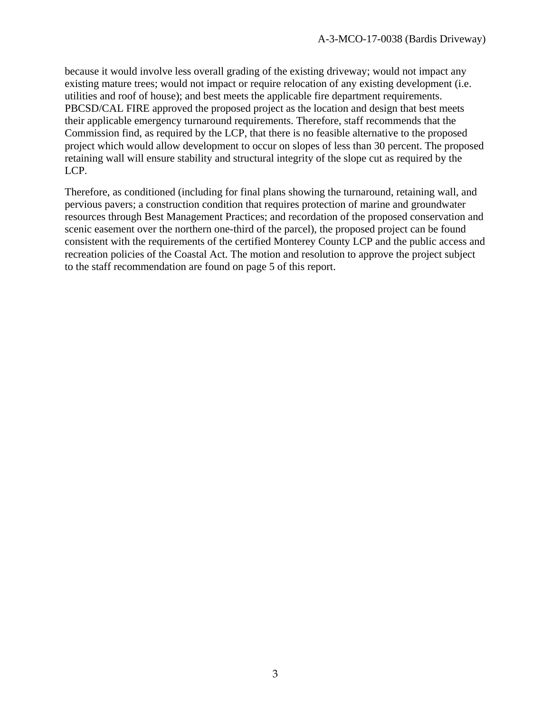because it would involve less overall grading of the existing driveway; would not impact any existing mature trees; would not impact or require relocation of any existing development (i.e. utilities and roof of house); and best meets the applicable fire department requirements. PBCSD/CAL FIRE approved the proposed project as the location and design that best meets their applicable emergency turnaround requirements. Therefore, staff recommends that the Commission find, as required by the LCP, that there is no feasible alternative to the proposed project which would allow development to occur on slopes of less than 30 percent. The proposed retaining wall will ensure stability and structural integrity of the slope cut as required by the LCP.

Therefore, as conditioned (including for final plans showing the turnaround, retaining wall, and pervious pavers; a construction condition that requires protection of marine and groundwater resources through Best Management Practices; and recordation of the proposed conservation and scenic easement over the northern one-third of the parcel), the proposed project can be found consistent with the requirements of the certified Monterey County LCP and the public access and recreation policies of the Coastal Act. The motion and resolution to approve the project subject to the staff recommendation are found on page 5 of this report.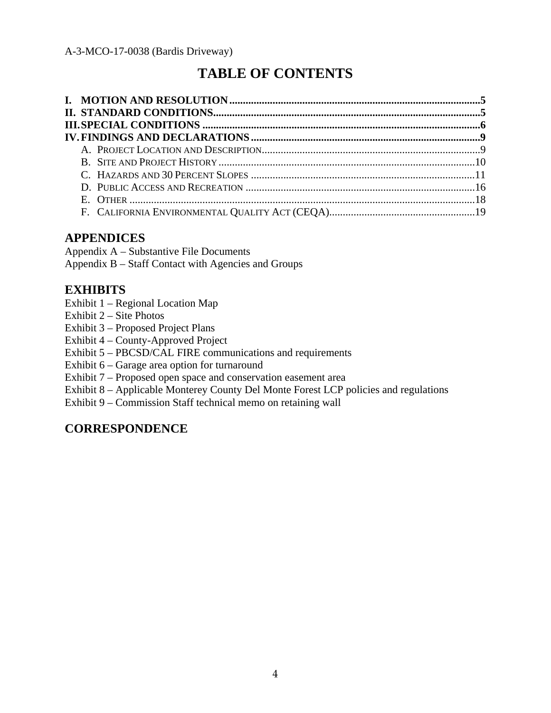# **TABLE OF CONTENTS**

## **APPENDICES**

Appendix A – Substantive File Documents

Appendix B – Staff Contact with Agencies and Groups

## **EXHIBITS**

- Exhibit 1 Regional Location Map
- Exhibit 2 Site Photos

Exhibit 3 – Proposed Project Plans

Exhibit 4 – County-Approved Project

Exhibit 5 – PBCSD/CAL FIRE communications and requirements

Exhibit 6 – Garage area option for turnaround

Exhibit 7 – Proposed open space and conservation easement area

Exhibit 8 – Applicable Monterey County Del Monte Forest LCP policies and regulations

Exhibit 9 – Commission Staff technical memo on retaining wall

## **CORRESPONDENCE**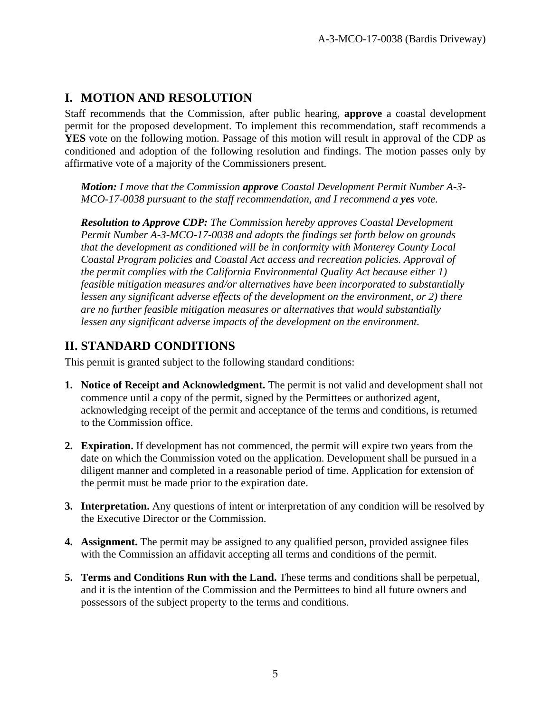## **I. MOTION AND RESOLUTION**

Staff recommends that the Commission, after public hearing, **approve** a coastal development permit for the proposed development. To implement this recommendation, staff recommends a **YES** vote on the following motion. Passage of this motion will result in approval of the CDP as conditioned and adoption of the following resolution and findings. The motion passes only by affirmative vote of a majority of the Commissioners present.

*Motion: I move that the Commission approve Coastal Development Permit Number A-3- MCO-17-0038 pursuant to the staff recommendation, and I recommend a yes vote.* 

*Resolution to Approve CDP: The Commission hereby approves Coastal Development Permit Number A-3-MCO-17-0038 and adopts the findings set forth below on grounds that the development as conditioned will be in conformity with Monterey County Local Coastal Program policies and Coastal Act access and recreation policies. Approval of the permit complies with the California Environmental Quality Act because either 1) feasible mitigation measures and/or alternatives have been incorporated to substantially lessen any significant adverse effects of the development on the environment, or 2) there are no further feasible mitigation measures or alternatives that would substantially lessen any significant adverse impacts of the development on the environment.*

## **II. STANDARD CONDITIONS**

This permit is granted subject to the following standard conditions:

- **1. Notice of Receipt and Acknowledgment.** The permit is not valid and development shall not commence until a copy of the permit, signed by the Permittees or authorized agent, acknowledging receipt of the permit and acceptance of the terms and conditions, is returned to the Commission office.
- **2. Expiration.** If development has not commenced, the permit will expire two years from the date on which the Commission voted on the application. Development shall be pursued in a diligent manner and completed in a reasonable period of time. Application for extension of the permit must be made prior to the expiration date.
- **3. Interpretation.** Any questions of intent or interpretation of any condition will be resolved by the Executive Director or the Commission.
- **4. Assignment.** The permit may be assigned to any qualified person, provided assignee files with the Commission an affidavit accepting all terms and conditions of the permit.
- **5. Terms and Conditions Run with the Land.** These terms and conditions shall be perpetual, and it is the intention of the Commission and the Permittees to bind all future owners and possessors of the subject property to the terms and conditions.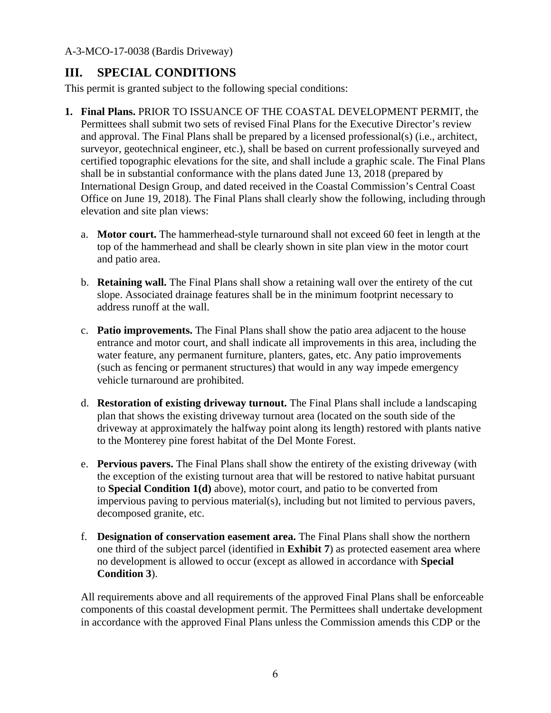## **III. SPECIAL CONDITIONS**

This permit is granted subject to the following special conditions:

- **1. Final Plans.** PRIOR TO ISSUANCE OF THE COASTAL DEVELOPMENT PERMIT, the Permittees shall submit two sets of revised Final Plans for the Executive Director's review and approval. The Final Plans shall be prepared by a licensed professional(s) (i.e., architect, surveyor, geotechnical engineer, etc.), shall be based on current professionally surveyed and certified topographic elevations for the site, and shall include a graphic scale. The Final Plans shall be in substantial conformance with the plans dated June 13, 2018 (prepared by International Design Group, and dated received in the Coastal Commission's Central Coast Office on June 19, 2018). The Final Plans shall clearly show the following, including through elevation and site plan views:
	- a. **Motor court.** The hammerhead-style turnaround shall not exceed 60 feet in length at the top of the hammerhead and shall be clearly shown in site plan view in the motor court and patio area.
	- b. **Retaining wall.** The Final Plans shall show a retaining wall over the entirety of the cut slope. Associated drainage features shall be in the minimum footprint necessary to address runoff at the wall.
	- c. **Patio improvements.** The Final Plans shall show the patio area adjacent to the house entrance and motor court, and shall indicate all improvements in this area, including the water feature, any permanent furniture, planters, gates, etc. Any patio improvements (such as fencing or permanent structures) that would in any way impede emergency vehicle turnaround are prohibited.
	- d. **Restoration of existing driveway turnout.** The Final Plans shall include a landscaping plan that shows the existing driveway turnout area (located on the south side of the driveway at approximately the halfway point along its length) restored with plants native to the Monterey pine forest habitat of the Del Monte Forest.
	- e. **Pervious pavers.** The Final Plans shall show the entirety of the existing driveway (with the exception of the existing turnout area that will be restored to native habitat pursuant to **Special Condition 1(d)** above), motor court, and patio to be converted from impervious paving to pervious material(s), including but not limited to pervious pavers, decomposed granite, etc.
	- f. **Designation of conservation easement area.** The Final Plans shall show the northern one third of the subject parcel (identified in **Exhibit 7**) as protected easement area where no development is allowed to occur (except as allowed in accordance with **Special Condition 3**).

All requirements above and all requirements of the approved Final Plans shall be enforceable components of this coastal development permit. The Permittees shall undertake development in accordance with the approved Final Plans unless the Commission amends this CDP or the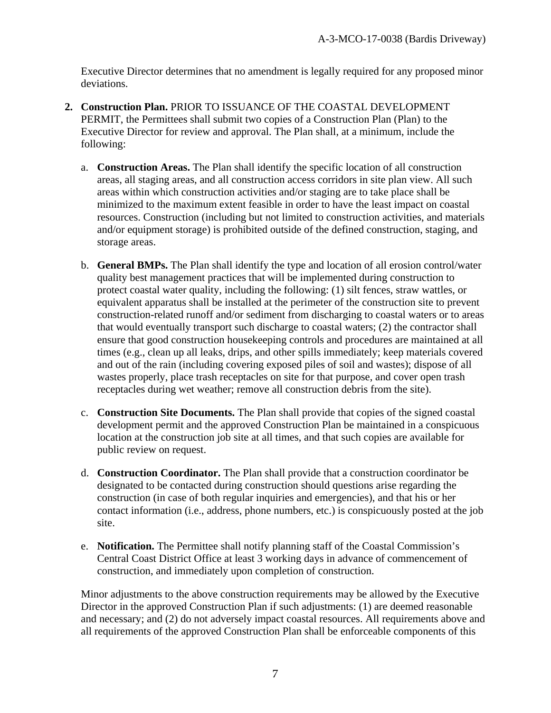Executive Director determines that no amendment is legally required for any proposed minor deviations.

- **2. Construction Plan.** PRIOR TO ISSUANCE OF THE COASTAL DEVELOPMENT PERMIT, the Permittees shall submit two copies of a Construction Plan (Plan) to the Executive Director for review and approval. The Plan shall, at a minimum, include the following:
	- a. **Construction Areas.** The Plan shall identify the specific location of all construction areas, all staging areas, and all construction access corridors in site plan view. All such areas within which construction activities and/or staging are to take place shall be minimized to the maximum extent feasible in order to have the least impact on coastal resources. Construction (including but not limited to construction activities, and materials and/or equipment storage) is prohibited outside of the defined construction, staging, and storage areas.
	- b. **General BMPs.** The Plan shall identify the type and location of all erosion control/water quality best management practices that will be implemented during construction to protect coastal water quality, including the following: (1) silt fences, straw wattles, or equivalent apparatus shall be installed at the perimeter of the construction site to prevent construction-related runoff and/or sediment from discharging to coastal waters or to areas that would eventually transport such discharge to coastal waters; (2) the contractor shall ensure that good construction housekeeping controls and procedures are maintained at all times (e.g., clean up all leaks, drips, and other spills immediately; keep materials covered and out of the rain (including covering exposed piles of soil and wastes); dispose of all wastes properly, place trash receptacles on site for that purpose, and cover open trash receptacles during wet weather; remove all construction debris from the site).
	- c. **Construction Site Documents.** The Plan shall provide that copies of the signed coastal development permit and the approved Construction Plan be maintained in a conspicuous location at the construction job site at all times, and that such copies are available for public review on request.
	- d. **Construction Coordinator.** The Plan shall provide that a construction coordinator be designated to be contacted during construction should questions arise regarding the construction (in case of both regular inquiries and emergencies), and that his or her contact information (i.e., address, phone numbers, etc.) is conspicuously posted at the job site.
	- e. **Notification.** The Permittee shall notify planning staff of the Coastal Commission's Central Coast District Office at least 3 working days in advance of commencement of construction, and immediately upon completion of construction.

Minor adjustments to the above construction requirements may be allowed by the Executive Director in the approved Construction Plan if such adjustments: (1) are deemed reasonable and necessary; and (2) do not adversely impact coastal resources. All requirements above and all requirements of the approved Construction Plan shall be enforceable components of this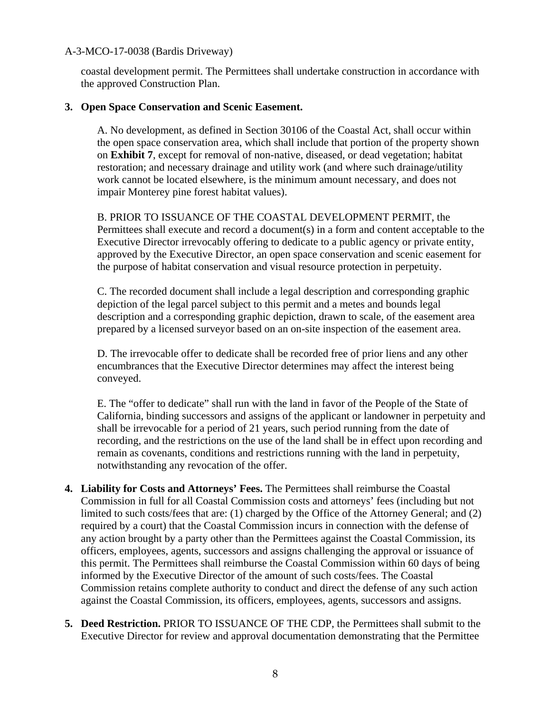coastal development permit. The Permittees shall undertake construction in accordance with the approved Construction Plan.

#### **3. Open Space Conservation and Scenic Easement.**

A. No development, as defined in Section 30106 of the Coastal Act, shall occur within the open space conservation area, which shall include that portion of the property shown on **Exhibit 7**, except for removal of non-native, diseased, or dead vegetation; habitat restoration; and necessary drainage and utility work (and where such drainage/utility work cannot be located elsewhere, is the minimum amount necessary, and does not impair Monterey pine forest habitat values).

B. PRIOR TO ISSUANCE OF THE COASTAL DEVELOPMENT PERMIT, the Permittees shall execute and record a document(s) in a form and content acceptable to the Executive Director irrevocably offering to dedicate to a public agency or private entity, approved by the Executive Director, an open space conservation and scenic easement for the purpose of habitat conservation and visual resource protection in perpetuity.

C. The recorded document shall include a legal description and corresponding graphic depiction of the legal parcel subject to this permit and a metes and bounds legal description and a corresponding graphic depiction, drawn to scale, of the easement area prepared by a licensed surveyor based on an on-site inspection of the easement area.

D. The irrevocable offer to dedicate shall be recorded free of prior liens and any other encumbrances that the Executive Director determines may affect the interest being conveyed.

E. The "offer to dedicate" shall run with the land in favor of the People of the State of California, binding successors and assigns of the applicant or landowner in perpetuity and shall be irrevocable for a period of 21 years, such period running from the date of recording, and the restrictions on the use of the land shall be in effect upon recording and remain as covenants, conditions and restrictions running with the land in perpetuity, notwithstanding any revocation of the offer.

- **4. Liability for Costs and Attorneys' Fees.** The Permittees shall reimburse the Coastal Commission in full for all Coastal Commission costs and attorneys' fees (including but not limited to such costs/fees that are: (1) charged by the Office of the Attorney General; and (2) required by a court) that the Coastal Commission incurs in connection with the defense of any action brought by a party other than the Permittees against the Coastal Commission, its officers, employees, agents, successors and assigns challenging the approval or issuance of this permit. The Permittees shall reimburse the Coastal Commission within 60 days of being informed by the Executive Director of the amount of such costs/fees. The Coastal Commission retains complete authority to conduct and direct the defense of any such action against the Coastal Commission, its officers, employees, agents, successors and assigns.
- **5. Deed Restriction.** PRIOR TO ISSUANCE OF THE CDP, the Permittees shall submit to the Executive Director for review and approval documentation demonstrating that the Permittee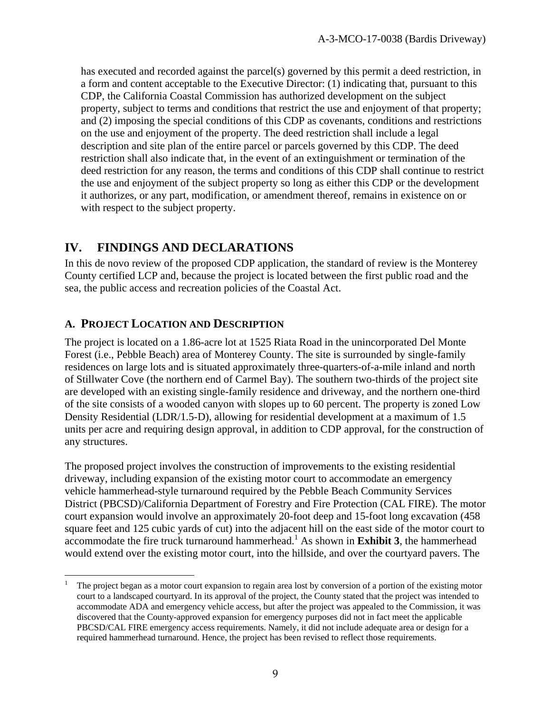has executed and recorded against the parcel(s) governed by this permit a deed restriction, in a form and content acceptable to the Executive Director: (1) indicating that, pursuant to this CDP, the California Coastal Commission has authorized development on the subject property, subject to terms and conditions that restrict the use and enjoyment of that property; and (2) imposing the special conditions of this CDP as covenants, conditions and restrictions on the use and enjoyment of the property. The deed restriction shall include a legal description and site plan of the entire parcel or parcels governed by this CDP. The deed restriction shall also indicate that, in the event of an extinguishment or termination of the deed restriction for any reason, the terms and conditions of this CDP shall continue to restrict the use and enjoyment of the subject property so long as either this CDP or the development it authorizes, or any part, modification, or amendment thereof, remains in existence on or with respect to the subject property.

## **IV. FINDINGS AND DECLARATIONS**

In this de novo review of the proposed CDP application, the standard of review is the Monterey County certified LCP and, because the project is located between the first public road and the sea, the public access and recreation policies of the Coastal Act.

## **A. PROJECT LOCATION AND DESCRIPTION**

 $\overline{a}$ 

The project is located on a 1.86-acre lot at 1525 Riata Road in the unincorporated Del Monte Forest (i.e., Pebble Beach) area of Monterey County. The site is surrounded by single-family residences on large lots and is situated approximately three-quarters-of-a-mile inland and north of Stillwater Cove (the northern end of Carmel Bay). The southern two-thirds of the project site are developed with an existing single-family residence and driveway, and the northern one-third of the site consists of a wooded canyon with slopes up to 60 percent. The property is zoned Low Density Residential (LDR/1.5-D), allowing for residential development at a maximum of 1.5 units per acre and requiring design approval, in addition to CDP approval, for the construction of any structures.

The proposed project involves the construction of improvements to the existing residential driveway, including expansion of the existing motor court to accommodate an emergency vehicle hammerhead-style turnaround required by the Pebble Beach Community Services District (PBCSD)/California Department of Forestry and Fire Protection (CAL FIRE). The motor court expansion would involve an approximately 20-foot deep and 15-foot long excavation (458 square feet and 125 cubic yards of cut) into the adjacent hill on the east side of the motor court to accommodate the fire truck turnaround hammerhead.<sup>1</sup> As shown in **Exhibit 3**, the hammerhead would extend over the existing motor court, into the hillside, and over the courtyard pavers. The

<sup>1</sup> The project began as a motor court expansion to regain area lost by conversion of a portion of the existing motor court to a landscaped courtyard. In its approval of the project, the County stated that the project was intended to accommodate ADA and emergency vehicle access, but after the project was appealed to the Commission, it was discovered that the County-approved expansion for emergency purposes did not in fact meet the applicable PBCSD/CAL FIRE emergency access requirements. Namely, it did not include adequate area or design for a required hammerhead turnaround. Hence, the project has been revised to reflect those requirements.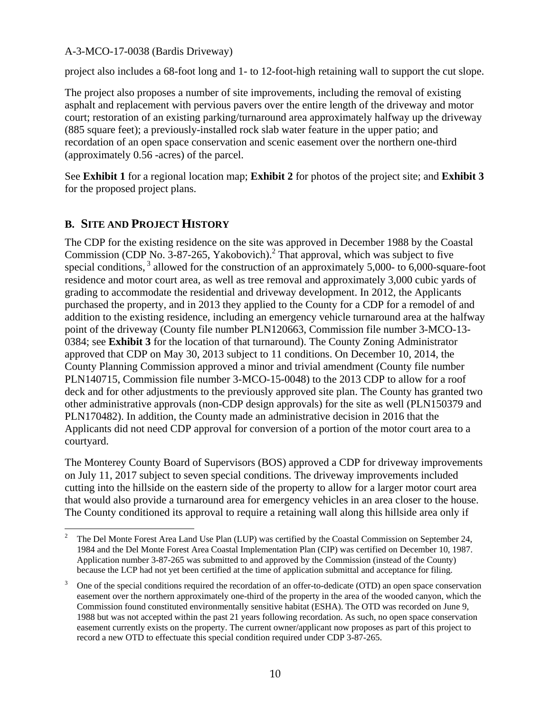project also includes a 68-foot long and 1- to 12-foot-high retaining wall to support the cut slope.

The project also proposes a number of site improvements, including the removal of existing asphalt and replacement with pervious pavers over the entire length of the driveway and motor court; restoration of an existing parking/turnaround area approximately halfway up the driveway (885 square feet); a previously-installed rock slab water feature in the upper patio; and recordation of an open space conservation and scenic easement over the northern one-third (approximately 0.56 -acres) of the parcel.

See **Exhibit 1** for a regional location map; **Exhibit 2** for photos of the project site; and **Exhibit 3**  for the proposed project plans.

## **B. SITE AND PROJECT HISTORY**

The CDP for the existing residence on the site was approved in December 1988 by the Coastal Commission (CDP No.  $3-87-265$ , Yakobovich).<sup>2</sup> That approval, which was subject to five special conditions,<sup>3</sup> allowed for the construction of an approximately 5,000- to 6,000-square-foot residence and motor court area, as well as tree removal and approximately 3,000 cubic yards of grading to accommodate the residential and driveway development. In 2012, the Applicants purchased the property, and in 2013 they applied to the County for a CDP for a remodel of and addition to the existing residence, including an emergency vehicle turnaround area at the halfway point of the driveway (County file number PLN120663, Commission file number 3-MCO-13- 0384; see **Exhibit 3** for the location of that turnaround). The County Zoning Administrator approved that CDP on May 30, 2013 subject to 11 conditions. On December 10, 2014, the County Planning Commission approved a minor and trivial amendment (County file number PLN140715, Commission file number 3-MCO-15-0048) to the 2013 CDP to allow for a roof deck and for other adjustments to the previously approved site plan. The County has granted two other administrative approvals (non-CDP design approvals) for the site as well (PLN150379 and PLN170482). In addition, the County made an administrative decision in 2016 that the Applicants did not need CDP approval for conversion of a portion of the motor court area to a courtyard.

The Monterey County Board of Supervisors (BOS) approved a CDP for driveway improvements on July 11, 2017 subject to seven special conditions. The driveway improvements included cutting into the hillside on the eastern side of the property to allow for a larger motor court area that would also provide a turnaround area for emergency vehicles in an area closer to the house. The County conditioned its approval to require a retaining wall along this hillside area only if

 $\overline{2}$  The Del Monte Forest Area Land Use Plan (LUP) was certified by the Coastal Commission on September 24, 1984 and the Del Monte Forest Area Coastal Implementation Plan (CIP) was certified on December 10, 1987. Application number 3-87-265 was submitted to and approved by the Commission (instead of the County) because the LCP had not yet been certified at the time of application submittal and acceptance for filing.

<sup>3</sup> One of the special conditions required the recordation of an offer-to-dedicate (OTD) an open space conservation easement over the northern approximately one-third of the property in the area of the wooded canyon, which the Commission found constituted environmentally sensitive habitat (ESHA). The OTD was recorded on June 9, 1988 but was not accepted within the past 21 years following recordation. As such, no open space conservation easement currently exists on the property. The current owner/applicant now proposes as part of this project to record a new OTD to effectuate this special condition required under CDP 3-87-265.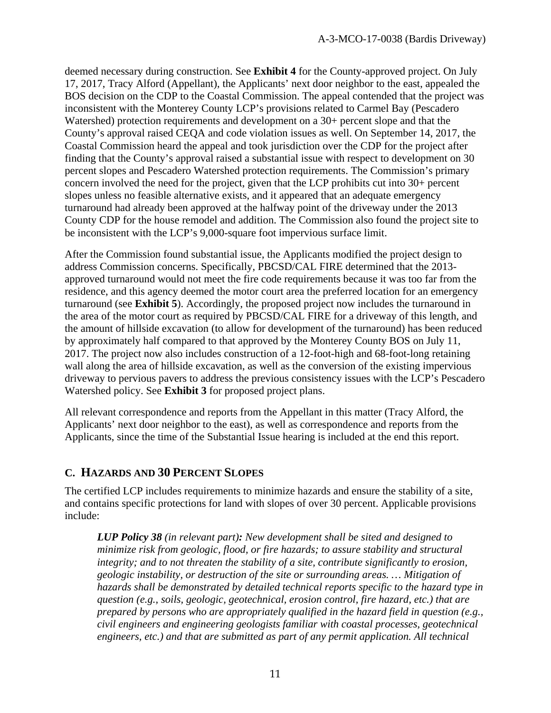deemed necessary during construction. See **Exhibit 4** for the County-approved project. On July 17, 2017, Tracy Alford (Appellant), the Applicants' next door neighbor to the east, appealed the BOS decision on the CDP to the Coastal Commission. The appeal contended that the project was inconsistent with the Monterey County LCP's provisions related to Carmel Bay (Pescadero Watershed) protection requirements and development on a 30+ percent slope and that the County's approval raised CEQA and code violation issues as well. On September 14, 2017, the Coastal Commission heard the appeal and took jurisdiction over the CDP for the project after finding that the County's approval raised a substantial issue with respect to development on 30 percent slopes and Pescadero Watershed protection requirements. The Commission's primary concern involved the need for the project, given that the LCP prohibits cut into 30+ percent slopes unless no feasible alternative exists, and it appeared that an adequate emergency turnaround had already been approved at the halfway point of the driveway under the 2013 County CDP for the house remodel and addition. The Commission also found the project site to be inconsistent with the LCP's 9,000-square foot impervious surface limit.

After the Commission found substantial issue, the Applicants modified the project design to address Commission concerns. Specifically, PBCSD/CAL FIRE determined that the 2013 approved turnaround would not meet the fire code requirements because it was too far from the residence, and this agency deemed the motor court area the preferred location for an emergency turnaround (see **Exhibit 5**). Accordingly, the proposed project now includes the turnaround in the area of the motor court as required by PBCSD/CAL FIRE for a driveway of this length, and the amount of hillside excavation (to allow for development of the turnaround) has been reduced by approximately half compared to that approved by the Monterey County BOS on July 11, 2017. The project now also includes construction of a 12-foot-high and 68-foot-long retaining wall along the area of hillside excavation, as well as the conversion of the existing impervious driveway to pervious pavers to address the previous consistency issues with the LCP's Pescadero Watershed policy. See **Exhibit 3** for proposed project plans.

All relevant correspondence and reports from the Appellant in this matter (Tracy Alford, the Applicants' next door neighbor to the east), as well as correspondence and reports from the Applicants, since the time of the Substantial Issue hearing is included at the end this report.

## **C. HAZARDS AND 30 PERCENT SLOPES**

The certified LCP includes requirements to minimize hazards and ensure the stability of a site, and contains specific protections for land with slopes of over 30 percent. Applicable provisions include:

*LUP Policy 38 (in relevant part): New development shall be sited and designed to minimize risk from geologic, flood, or fire hazards; to assure stability and structural integrity; and to not threaten the stability of a site, contribute significantly to erosion, geologic instability, or destruction of the site or surrounding areas. … Mitigation of hazards shall be demonstrated by detailed technical reports specific to the hazard type in question (e.g., soils, geologic, geotechnical, erosion control, fire hazard, etc.) that are prepared by persons who are appropriately qualified in the hazard field in question (e.g., civil engineers and engineering geologists familiar with coastal processes, geotechnical engineers, etc.) and that are submitted as part of any permit application. All technical*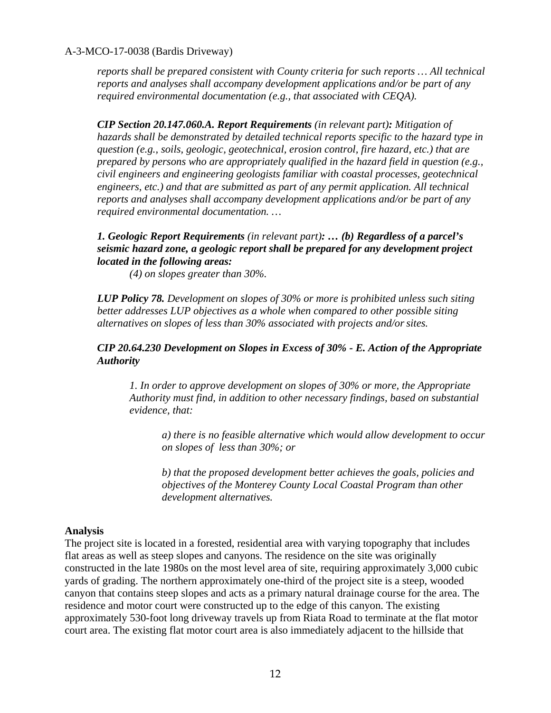*reports shall be prepared consistent with County criteria for such reports … All technical reports and analyses shall accompany development applications and/or be part of any required environmental documentation (e.g., that associated with CEQA).* 

*CIP Section 20.147.060.A. Report Requirements (in relevant part): Mitigation of hazards shall be demonstrated by detailed technical reports specific to the hazard type in question (e.g., soils, geologic, geotechnical, erosion control, fire hazard, etc.) that are prepared by persons who are appropriately qualified in the hazard field in question (e.g., civil engineers and engineering geologists familiar with coastal processes, geotechnical engineers, etc.) and that are submitted as part of any permit application. All technical reports and analyses shall accompany development applications and/or be part of any required environmental documentation. …* 

#### *1. Geologic Report Requirements (in relevant part): … (b) Regardless of a parcel's seismic hazard zone, a geologic report shall be prepared for any development project located in the following areas:*

*(4) on slopes greater than 30%.* 

*LUP Policy 78. Development on slopes of 30% or more is prohibited unless such siting better addresses LUP objectives as a whole when compared to other possible siting alternatives on slopes of less than 30% associated with projects and/or sites.* 

#### *CIP 20.64.230 Development on Slopes in Excess of 30% - E. Action of the Appropriate Authority*

*1. In order to approve development on slopes of 30% or more, the Appropriate Authority must find, in addition to other necessary findings, based on substantial evidence, that:* 

*a) there is no feasible alternative which would allow development to occur on slopes of less than 30%; or* 

*b) that the proposed development better achieves the goals, policies and objectives of the Monterey County Local Coastal Program than other development alternatives.* 

#### **Analysis**

The project site is located in a forested, residential area with varying topography that includes flat areas as well as steep slopes and canyons. The residence on the site was originally constructed in the late 1980s on the most level area of site, requiring approximately 3,000 cubic yards of grading. The northern approximately one-third of the project site is a steep, wooded canyon that contains steep slopes and acts as a primary natural drainage course for the area. The residence and motor court were constructed up to the edge of this canyon. The existing approximately 530-foot long driveway travels up from Riata Road to terminate at the flat motor court area. The existing flat motor court area is also immediately adjacent to the hillside that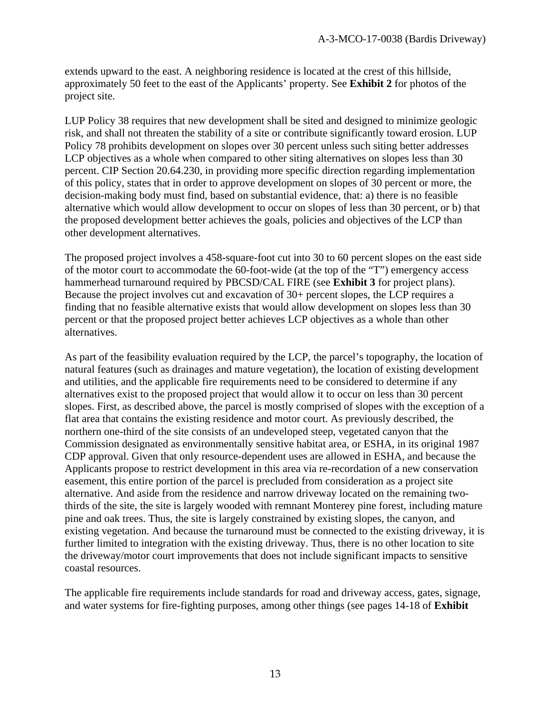extends upward to the east. A neighboring residence is located at the crest of this hillside, approximately 50 feet to the east of the Applicants' property. See **Exhibit 2** for photos of the project site.

LUP Policy 38 requires that new development shall be sited and designed to minimize geologic risk, and shall not threaten the stability of a site or contribute significantly toward erosion. LUP Policy 78 prohibits development on slopes over 30 percent unless such siting better addresses LCP objectives as a whole when compared to other siting alternatives on slopes less than 30 percent. CIP Section 20.64.230, in providing more specific direction regarding implementation of this policy, states that in order to approve development on slopes of 30 percent or more, the decision-making body must find, based on substantial evidence, that: a) there is no feasible alternative which would allow development to occur on slopes of less than 30 percent, or b) that the proposed development better achieves the goals, policies and objectives of the LCP than other development alternatives.

The proposed project involves a 458-square-foot cut into 30 to 60 percent slopes on the east side of the motor court to accommodate the 60-foot-wide (at the top of the "T") emergency access hammerhead turnaround required by PBCSD/CAL FIRE (see **Exhibit 3** for project plans). Because the project involves cut and excavation of 30+ percent slopes, the LCP requires a finding that no feasible alternative exists that would allow development on slopes less than 30 percent or that the proposed project better achieves LCP objectives as a whole than other alternatives.

As part of the feasibility evaluation required by the LCP, the parcel's topography, the location of natural features (such as drainages and mature vegetation), the location of existing development and utilities, and the applicable fire requirements need to be considered to determine if any alternatives exist to the proposed project that would allow it to occur on less than 30 percent slopes. First, as described above, the parcel is mostly comprised of slopes with the exception of a flat area that contains the existing residence and motor court. As previously described, the northern one-third of the site consists of an undeveloped steep, vegetated canyon that the Commission designated as environmentally sensitive habitat area, or ESHA, in its original 1987 CDP approval. Given that only resource-dependent uses are allowed in ESHA, and because the Applicants propose to restrict development in this area via re-recordation of a new conservation easement, this entire portion of the parcel is precluded from consideration as a project site alternative. And aside from the residence and narrow driveway located on the remaining twothirds of the site, the site is largely wooded with remnant Monterey pine forest, including mature pine and oak trees. Thus, the site is largely constrained by existing slopes, the canyon, and existing vegetation. And because the turnaround must be connected to the existing driveway, it is further limited to integration with the existing driveway. Thus, there is no other location to site the driveway/motor court improvements that does not include significant impacts to sensitive coastal resources.

The applicable fire requirements include standards for road and driveway access, gates, signage, and water systems for fire-fighting purposes, among other things (see pages 14-18 of **Exhibit**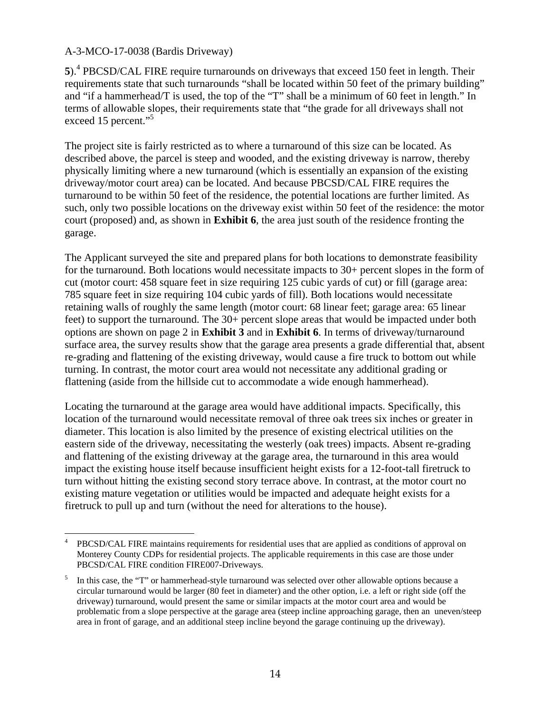5).<sup>4</sup> PBCSD/CAL FIRE require turnarounds on driveways that exceed 150 feet in length. Their requirements state that such turnarounds "shall be located within 50 feet of the primary building" and "if a hammerhead/T is used, the top of the "T" shall be a minimum of 60 feet in length." In terms of allowable slopes, their requirements state that "the grade for all driveways shall not exceed 15 percent."<sup>5</sup>

The project site is fairly restricted as to where a turnaround of this size can be located. As described above, the parcel is steep and wooded, and the existing driveway is narrow, thereby physically limiting where a new turnaround (which is essentially an expansion of the existing driveway/motor court area) can be located. And because PBCSD/CAL FIRE requires the turnaround to be within 50 feet of the residence, the potential locations are further limited. As such, only two possible locations on the driveway exist within 50 feet of the residence: the motor court (proposed) and, as shown in **Exhibit 6**, the area just south of the residence fronting the garage.

The Applicant surveyed the site and prepared plans for both locations to demonstrate feasibility for the turnaround. Both locations would necessitate impacts to 30+ percent slopes in the form of cut (motor court: 458 square feet in size requiring 125 cubic yards of cut) or fill (garage area: 785 square feet in size requiring 104 cubic yards of fill). Both locations would necessitate retaining walls of roughly the same length (motor court: 68 linear feet; garage area: 65 linear feet) to support the turnaround. The 30+ percent slope areas that would be impacted under both options are shown on page 2 in **Exhibit 3** and in **Exhibit 6**. In terms of driveway/turnaround surface area, the survey results show that the garage area presents a grade differential that, absent re-grading and flattening of the existing driveway, would cause a fire truck to bottom out while turning. In contrast, the motor court area would not necessitate any additional grading or flattening (aside from the hillside cut to accommodate a wide enough hammerhead).

Locating the turnaround at the garage area would have additional impacts. Specifically, this location of the turnaround would necessitate removal of three oak trees six inches or greater in diameter. This location is also limited by the presence of existing electrical utilities on the eastern side of the driveway, necessitating the westerly (oak trees) impacts. Absent re-grading and flattening of the existing driveway at the garage area, the turnaround in this area would impact the existing house itself because insufficient height exists for a 12-foot-tall firetruck to turn without hitting the existing second story terrace above. In contrast, at the motor court no existing mature vegetation or utilities would be impacted and adequate height exists for a firetruck to pull up and turn (without the need for alterations to the house).

 $\overline{a}$ 4 PBCSD/CAL FIRE maintains requirements for residential uses that are applied as conditions of approval on Monterey County CDPs for residential projects. The applicable requirements in this case are those under PBCSD/CAL FIRE condition FIRE007-Driveways.

<sup>5</sup> In this case, the "T" or hammerhead-style turnaround was selected over other allowable options because a circular turnaround would be larger (80 feet in diameter) and the other option, i.e. a left or right side (off the driveway) turnaround, would present the same or similar impacts at the motor court area and would be problematic from a slope perspective at the garage area (steep incline approaching garage, then an uneven/steep area in front of garage, and an additional steep incline beyond the garage continuing up the driveway).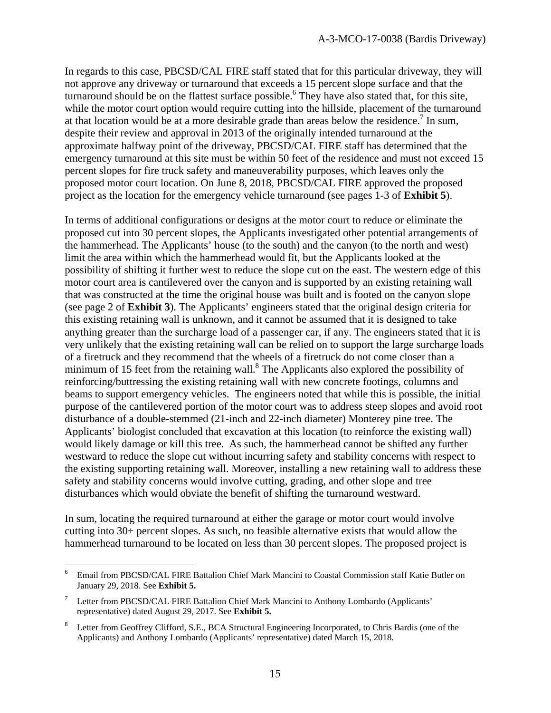In regards to this case, PBCSD/CAL FIRE staff stated that for this particular driveway, they will not approve any driveway or turnaround that exceeds a 15 percent slope surface and that the turnaround should be on the flattest surface possible.<sup>6</sup> They have also stated that, for this site, while the motor court option would require cutting into the hillside, placement of the turnaround at that location would be at a more desirable grade than areas below the residence.<sup>7</sup> In sum, despite their review and approval in 2013 of the originally intended turnaround at the approximate halfway point of the driveway, PBCSD/CAL FIRE staff has determined that the emergency turnaround at this site must be within 50 feet of the residence and must not exceed 15 percent slopes for fire truck safety and maneuverability purposes, which leaves only the proposed motor court location. On June 8, 2018, PBCSD/CAL FIRE approved the proposed project as the location for the emergency vehicle turnaround (see pages 1-3 of **Exhibit 5**).

In terms of additional configurations or designs at the motor court to reduce or eliminate the proposed cut into 30 percent slopes, the Applicants investigated other potential arrangements of the hammerhead. The Applicants' house (to the south) and the canyon (to the north and west) limit the area within which the hammerhead would fit, but the Applicants looked at the possibility of shifting it further west to reduce the slope cut on the east. The western edge of this motor court area is cantilevered over the canyon and is supported by an existing retaining wall that was constructed at the time the original house was built and is footed on the canyon slope (see page 2 of **Exhibit 3**). The Applicants' engineers stated that the original design criteria for this existing retaining wall is unknown, and it cannot be assumed that it is designed to take anything greater than the surcharge load of a passenger car, if any. The engineers stated that it is very unlikely that the existing retaining wall can be relied on to support the large surcharge loads of a firetruck and they recommend that the wheels of a firetruck do not come closer than a minimum of 15 feet from the retaining wall. $^8$  The Applicants also explored the possibility of reinforcing/buttressing the existing retaining wall with new concrete footings, columns and beams to support emergency vehicles. The engineers noted that while this is possible, the initial purpose of the cantilevered portion of the motor court was to address steep slopes and avoid root disturbance of a double-stemmed (21-inch and 22-inch diameter) Monterey pine tree. The Applicants' biologist concluded that excavation at this location (to reinforce the existing wall) would likely damage or kill this tree. As such, the hammerhead cannot be shifted any further westward to reduce the slope cut without incurring safety and stability concerns with respect to the existing supporting retaining wall. Moreover, installing a new retaining wall to address these safety and stability concerns would involve cutting, grading, and other slope and tree disturbances which would obviate the benefit of shifting the turnaround westward.

In sum, locating the required turnaround at either the garage or motor court would involve cutting into 30+ percent slopes. As such, no feasible alternative exists that would allow the hammerhead turnaround to be located on less than 30 percent slopes. The proposed project is

 $\overline{a}$ 

<sup>6</sup> Email from PBCSD/CAL FIRE Battalion Chief Mark Mancini to Coastal Commission staff Katie Butler on January 29, 2018. See **Exhibit 5.** 

<sup>7</sup> Letter from PBCSD/CAL FIRE Battalion Chief Mark Mancini to Anthony Lombardo (Applicants' representative) dated August 29, 2017. See **Exhibit 5.**

<sup>8</sup> Letter from Geoffrey Clifford, S.E., BCA Structural Engineering Incorporated, to Chris Bardis (one of the Applicants) and Anthony Lombardo (Applicants' representative) dated March 15, 2018.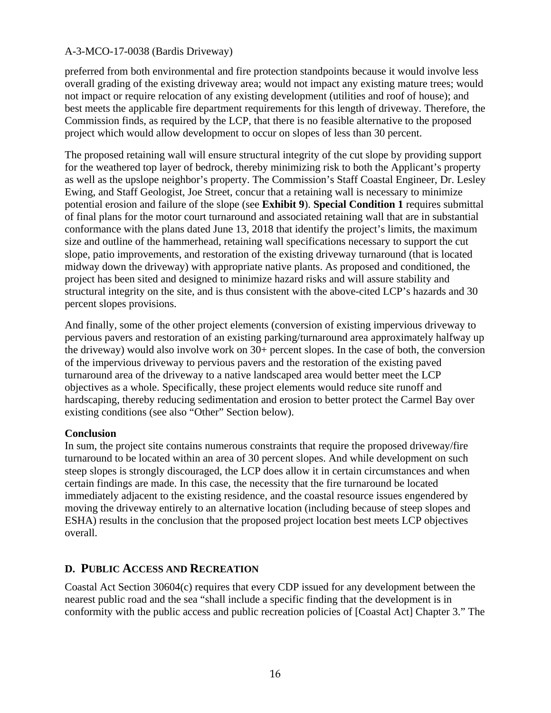preferred from both environmental and fire protection standpoints because it would involve less overall grading of the existing driveway area; would not impact any existing mature trees; would not impact or require relocation of any existing development (utilities and roof of house); and best meets the applicable fire department requirements for this length of driveway. Therefore, the Commission finds, as required by the LCP, that there is no feasible alternative to the proposed project which would allow development to occur on slopes of less than 30 percent.

The proposed retaining wall will ensure structural integrity of the cut slope by providing support for the weathered top layer of bedrock, thereby minimizing risk to both the Applicant's property as well as the upslope neighbor's property. The Commission's Staff Coastal Engineer, Dr. Lesley Ewing, and Staff Geologist, Joe Street, concur that a retaining wall is necessary to minimize potential erosion and failure of the slope (see **Exhibit 9**). **Special Condition 1** requires submittal of final plans for the motor court turnaround and associated retaining wall that are in substantial conformance with the plans dated June 13, 2018 that identify the project's limits, the maximum size and outline of the hammerhead, retaining wall specifications necessary to support the cut slope, patio improvements, and restoration of the existing driveway turnaround (that is located midway down the driveway) with appropriate native plants. As proposed and conditioned, the project has been sited and designed to minimize hazard risks and will assure stability and structural integrity on the site, and is thus consistent with the above-cited LCP's hazards and 30 percent slopes provisions.

And finally, some of the other project elements (conversion of existing impervious driveway to pervious pavers and restoration of an existing parking/turnaround area approximately halfway up the driveway) would also involve work on 30+ percent slopes. In the case of both, the conversion of the impervious driveway to pervious pavers and the restoration of the existing paved turnaround area of the driveway to a native landscaped area would better meet the LCP objectives as a whole. Specifically, these project elements would reduce site runoff and hardscaping, thereby reducing sedimentation and erosion to better protect the Carmel Bay over existing conditions (see also "Other" Section below).

#### **Conclusion**

In sum, the project site contains numerous constraints that require the proposed driveway/fire turnaround to be located within an area of 30 percent slopes. And while development on such steep slopes is strongly discouraged, the LCP does allow it in certain circumstances and when certain findings are made. In this case, the necessity that the fire turnaround be located immediately adjacent to the existing residence, and the coastal resource issues engendered by moving the driveway entirely to an alternative location (including because of steep slopes and ESHA) results in the conclusion that the proposed project location best meets LCP objectives overall.

## **D. PUBLIC ACCESS AND RECREATION**

Coastal Act Section 30604(c) requires that every CDP issued for any development between the nearest public road and the sea "shall include a specific finding that the development is in conformity with the public access and public recreation policies of [Coastal Act] Chapter 3." The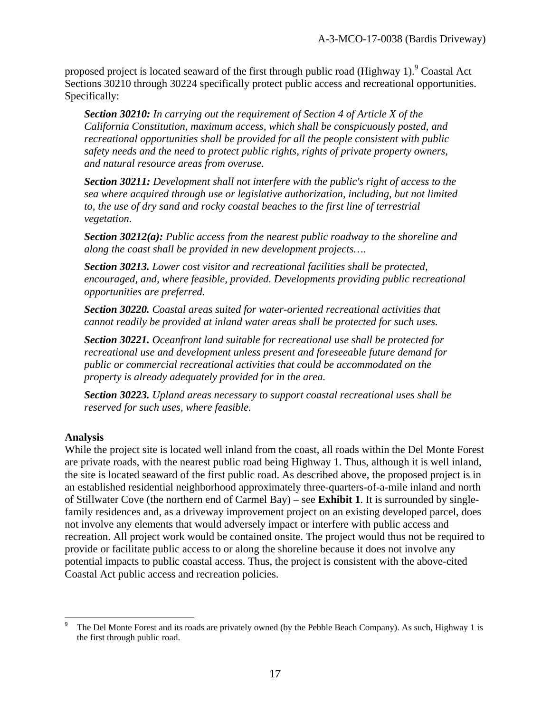proposed project is located seaward of the first through public road (Highway 1). <sup>9</sup> Coastal Act Sections 30210 through 30224 specifically protect public access and recreational opportunities. Specifically:

*Section 30210: In carrying out the requirement of Section 4 of Article X of the California Constitution, maximum access, which shall be conspicuously posted, and recreational opportunities shall be provided for all the people consistent with public safety needs and the need to protect public rights, rights of private property owners, and natural resource areas from overuse.* 

*Section 30211: Development shall not interfere with the public's right of access to the sea where acquired through use or legislative authorization, including, but not limited*  to, the use of dry sand and rocky coastal beaches to the first line of terrestrial *vegetation.* 

*Section 30212(a): Public access from the nearest public roadway to the shoreline and along the coast shall be provided in new development projects….* 

*Section 30213. Lower cost visitor and recreational facilities shall be protected, encouraged, and, where feasible, provided. Developments providing public recreational opportunities are preferred.* 

*Section 30220. Coastal areas suited for water-oriented recreational activities that cannot readily be provided at inland water areas shall be protected for such uses.*

*Section 30221. Oceanfront land suitable for recreational use shall be protected for recreational use and development unless present and foreseeable future demand for public or commercial recreational activities that could be accommodated on the property is already adequately provided for in the area.*

*Section 30223. Upland areas necessary to support coastal recreational uses shall be reserved for such uses, where feasible.*

#### **Analysis**

 $\overline{a}$ 

While the project site is located well inland from the coast, all roads within the Del Monte Forest are private roads, with the nearest public road being Highway 1. Thus, although it is well inland, the site is located seaward of the first public road. As described above, the proposed project is in an established residential neighborhood approximately three-quarters-of-a-mile inland and north of Stillwater Cove (the northern end of Carmel Bay) – see **Exhibit 1**. It is surrounded by singlefamily residences and, as a driveway improvement project on an existing developed parcel, does not involve any elements that would adversely impact or interfere with public access and recreation. All project work would be contained onsite. The project would thus not be required to provide or facilitate public access to or along the shoreline because it does not involve any potential impacts to public coastal access. Thus, the project is consistent with the above-cited Coastal Act public access and recreation policies.

<sup>9</sup> The Del Monte Forest and its roads are privately owned (by the Pebble Beach Company). As such, Highway 1 is the first through public road.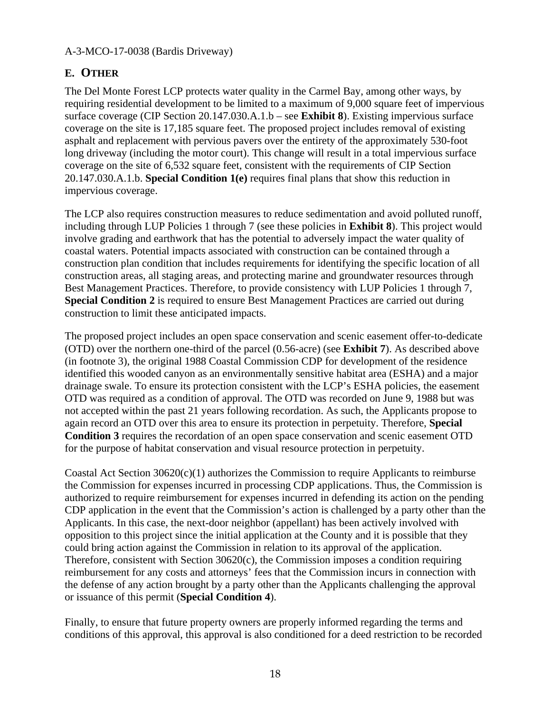## **E. OTHER**

The Del Monte Forest LCP protects water quality in the Carmel Bay, among other ways, by requiring residential development to be limited to a maximum of 9,000 square feet of impervious surface coverage (CIP Section 20.147.030.A.1.b – see **Exhibit 8**). Existing impervious surface coverage on the site is 17,185 square feet. The proposed project includes removal of existing asphalt and replacement with pervious pavers over the entirety of the approximately 530-foot long driveway (including the motor court). This change will result in a total impervious surface coverage on the site of 6,532 square feet, consistent with the requirements of CIP Section 20.147.030.A.1.b. **Special Condition 1(e)** requires final plans that show this reduction in impervious coverage.

The LCP also requires construction measures to reduce sedimentation and avoid polluted runoff, including through LUP Policies 1 through 7 (see these policies in **Exhibit 8**). This project would involve grading and earthwork that has the potential to adversely impact the water quality of coastal waters. Potential impacts associated with construction can be contained through a construction plan condition that includes requirements for identifying the specific location of all construction areas, all staging areas, and protecting marine and groundwater resources through Best Management Practices. Therefore, to provide consistency with LUP Policies 1 through 7, **Special Condition 2** is required to ensure Best Management Practices are carried out during construction to limit these anticipated impacts.

The proposed project includes an open space conservation and scenic easement offer-to-dedicate (OTD) over the northern one-third of the parcel (0.56-acre) (see **Exhibit 7**). As described above (in footnote 3), the original 1988 Coastal Commission CDP for development of the residence identified this wooded canyon as an environmentally sensitive habitat area (ESHA) and a major drainage swale. To ensure its protection consistent with the LCP's ESHA policies, the easement OTD was required as a condition of approval. The OTD was recorded on June 9, 1988 but was not accepted within the past 21 years following recordation. As such, the Applicants propose to again record an OTD over this area to ensure its protection in perpetuity. Therefore, **Special Condition 3** requires the recordation of an open space conservation and scenic easement OTD for the purpose of habitat conservation and visual resource protection in perpetuity.

Coastal Act Section  $30620(c)(1)$  authorizes the Commission to require Applicants to reimburse the Commission for expenses incurred in processing CDP applications. Thus, the Commission is authorized to require reimbursement for expenses incurred in defending its action on the pending CDP application in the event that the Commission's action is challenged by a party other than the Applicants. In this case, the next-door neighbor (appellant) has been actively involved with opposition to this project since the initial application at the County and it is possible that they could bring action against the Commission in relation to its approval of the application. Therefore, consistent with Section 30620(c), the Commission imposes a condition requiring reimbursement for any costs and attorneys' fees that the Commission incurs in connection with the defense of any action brought by a party other than the Applicants challenging the approval or issuance of this permit (**Special Condition 4**).

Finally, to ensure that future property owners are properly informed regarding the terms and conditions of this approval, this approval is also conditioned for a deed restriction to be recorded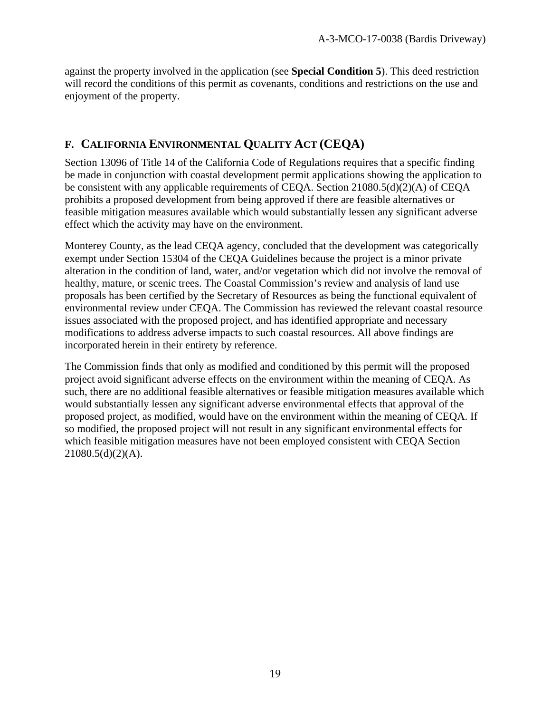against the property involved in the application (see **Special Condition 5**). This deed restriction will record the conditions of this permit as covenants, conditions and restrictions on the use and enjoyment of the property.

## **F. CALIFORNIA ENVIRONMENTAL QUALITY ACT (CEQA)**

Section 13096 of Title 14 of the California Code of Regulations requires that a specific finding be made in conjunction with coastal development permit applications showing the application to be consistent with any applicable requirements of CEQA. Section 21080.5(d)(2)(A) of CEQA prohibits a proposed development from being approved if there are feasible alternatives or feasible mitigation measures available which would substantially lessen any significant adverse effect which the activity may have on the environment.

Monterey County, as the lead CEQA agency, concluded that the development was categorically exempt under Section 15304 of the CEQA Guidelines because the project is a minor private alteration in the condition of land, water, and/or vegetation which did not involve the removal of healthy, mature, or scenic trees. The Coastal Commission's review and analysis of land use proposals has been certified by the Secretary of Resources as being the functional equivalent of environmental review under CEQA. The Commission has reviewed the relevant coastal resource issues associated with the proposed project, and has identified appropriate and necessary modifications to address adverse impacts to such coastal resources. All above findings are incorporated herein in their entirety by reference.

The Commission finds that only as modified and conditioned by this permit will the proposed project avoid significant adverse effects on the environment within the meaning of CEQA. As such, there are no additional feasible alternatives or feasible mitigation measures available which would substantially lessen any significant adverse environmental effects that approval of the proposed project, as modified, would have on the environment within the meaning of CEQA. If so modified, the proposed project will not result in any significant environmental effects for which feasible mitigation measures have not been employed consistent with CEQA Section  $21080.5(d)(2)(A)$ .